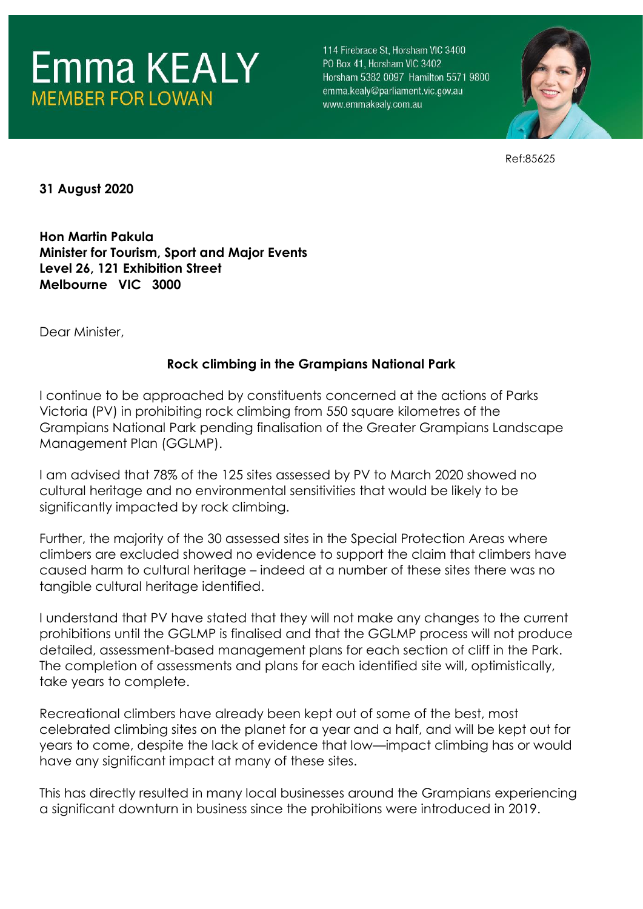

114 Firebrace St. Horsham VIC 3400 PO Box 41. Horsham VIC 3402 Horsham 5382 0097 Hamilton 5571 9800 emma.kealy@parliament.vic.gov.au www.emmakealy.com.au



Ref:85625

**31 August 2020**

**Hon Martin Pakula Minister for Tourism, Sport and Major Events Level 26, 121 Exhibition Street Melbourne VIC 3000**

Dear Minister,

## **Rock climbing in the Grampians National Park**

I continue to be approached by constituents concerned at the actions of Parks Victoria (PV) in prohibiting rock climbing from 550 square kilometres of the Grampians National Park pending finalisation of the Greater Grampians Landscape Management Plan (GGLMP).

I am advised that 78% of the 125 sites assessed by PV to March 2020 showed no cultural heritage and no environmental sensitivities that would be likely to be significantly impacted by rock climbing.

Further, the majority of the 30 assessed sites in the Special Protection Areas where climbers are excluded showed no evidence to support the claim that climbers have caused harm to cultural heritage – indeed at a number of these sites there was no tangible cultural heritage identified.

I understand that PV have stated that they will not make any changes to the current prohibitions until the GGLMP is finalised and that the GGLMP process will not produce detailed, assessment-based management plans for each section of cliff in the Park. The completion of assessments and plans for each identified site will, optimistically, take years to complete.

Recreational climbers have already been kept out of some of the best, most celebrated climbing sites on the planet for a year and a half, and will be kept out for years to come, despite the lack of evidence that low—impact climbing has or would have any significant impact at many of these sites.

This has directly resulted in many local businesses around the Grampians experiencing a significant downturn in business since the prohibitions were introduced in 2019.